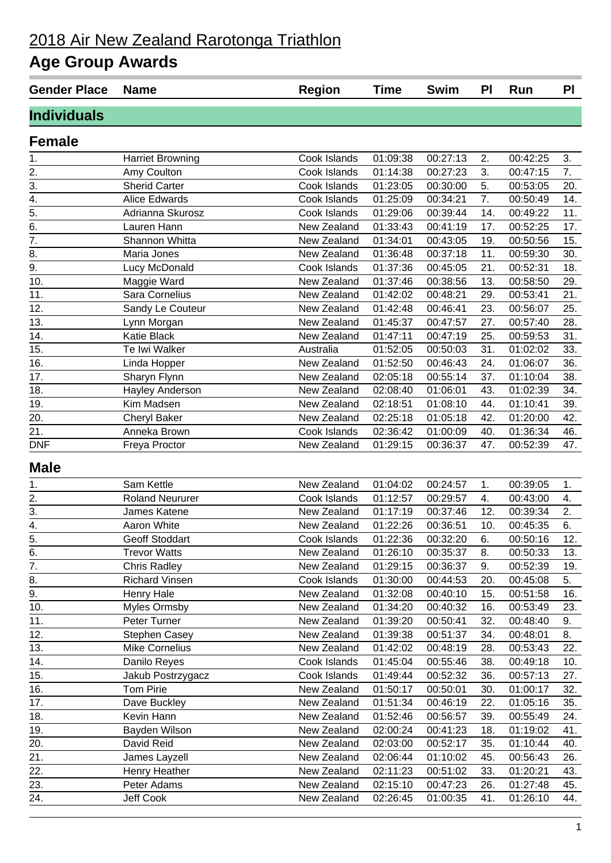## 2018 Air New Zealand Rarotonga Triathlon

## **Age Group Awards**

| <b>Gender Place</b> | <b>Name</b>             | <b>Region</b> | <b>Time</b> | <b>Swim</b> | <b>PI</b> | Run      | <b>PI</b> |
|---------------------|-------------------------|---------------|-------------|-------------|-----------|----------|-----------|
| <b>Individuals</b>  |                         |               |             |             |           |          |           |
| <b>Female</b>       |                         |               |             |             |           |          |           |
| 1.                  | <b>Harriet Browning</b> | Cook Islands  | 01:09:38    | 00:27:13    | 2.        | 00:42:25 | 3.        |
| 2.                  | Amy Coulton             | Cook Islands  | 01:14:38    | 00:27:23    | 3.        | 00:47:15 | 7.        |
| 3.                  | <b>Sherid Carter</b>    | Cook Islands  | 01:23:05    | 00:30:00    | 5.        | 00:53:05 | 20.       |
| 4.                  | Alice Edwards           | Cook Islands  | 01:25:09    | 00:34:21    | 7.        | 00:50:49 | 14.       |
| $\overline{5}$ .    | Adrianna Skurosz        | Cook Islands  | 01:29:06    | 00:39:44    | 14.       | 00:49:22 | 11.       |
| $\overline{6}$ .    | Lauren Hann             | New Zealand   | 01:33:43    | 00:41:19    | 17.       | 00:52:25 | 17.       |
| $\overline{7}$ .    | Shannon Whitta          | New Zealand   | 01:34:01    | 00:43:05    | 19.       | 00:50:56 | 15.       |
| $\overline{8}$ .    | Maria Jones             | New Zealand   | 01:36:48    | 00:37:18    | 11.       | 00:59:30 | 30.       |
| $\overline{9}$ .    | Lucy McDonald           | Cook Islands  | 01:37:36    | 00:45:05    | 21.       | 00:52:31 | 18.       |
| 10.                 | Maggie Ward             | New Zealand   | 01:37:46    | 00:38:56    | 13.       | 00:58:50 | 29.       |
| 11.                 | Sara Cornelius          | New Zealand   | 01:42:02    | 00:48:21    | 29.       | 00:53:41 | 21.       |
| 12.                 | Sandy Le Couteur        | New Zealand   | 01:42:48    | 00:46:41    | 23.       | 00:56:07 | 25.       |
| 13.                 | Lynn Morgan             | New Zealand   | 01:45:37    | 00:47:57    | 27.       | 00:57:40 | 28.       |
| 14.                 | Katie Black             | New Zealand   | 01:47:11    | 00:47:19    | 25.       | 00:59:53 | 31.       |
| 15.                 | Te Iwi Walker           | Australia     | 01:52:05    | 00:50:03    | 31.       | 01:02:02 | 33.       |
| 16.                 | Linda Hopper            | New Zealand   | 01:52:50    | 00:46:43    | 24.       | 01:06:07 | 36.       |
| 17.                 | Sharyn Flynn            | New Zealand   | 02:05:18    | 00:55:14    | 37.       | 01:10:04 | 38.       |
| 18.                 | <b>Hayley Anderson</b>  | New Zealand   | 02:08:40    | 01:06:01    | 43.       | 01:02:39 | 34.       |
| 19.                 | Kim Madsen              | New Zealand   | 02:18:51    | 01:08:10    | 44.       | 01:10:41 | 39.       |
| 20.                 | Cheryl Baker            | New Zealand   | 02:25:18    | 01:05:18    | 42.       | 01:20:00 | 42.       |
| 21.                 | Anneka Brown            | Cook Islands  | 02:36:42    | 01:00:09    | 40.       | 01:36:34 | 46.       |
| <b>DNF</b>          | Freya Proctor           | New Zealand   | 01:29:15    | 00:36:37    | 47.       | 00:52:39 | 47.       |
| <b>Male</b>         |                         |               |             |             |           |          |           |
| 1.                  | Sam Kettle              | New Zealand   | 01:04:02    | 00:24:57    | 1.        | 00:39:05 | 1.        |
| 2.                  | <b>Roland Neururer</b>  | Cook Islands  | 01:12:57    | 00:29:57    | 4.        | 00:43:00 | 4.        |
| 3.                  | James Katene            | New Zealand   | 01:17:19    | 00:37:46    | 12.       | 00:39:34 | 2.        |
| 4.                  | Aaron White             | New Zealand   | 01:22:26    | 00:36:51    | 10.       | 00:45:35 | 6.        |
| $\overline{5}$ .    | Geoff Stoddart          | Cook Islands  | 01:22:36    | 00:32:20    | 6.        | 00:50:16 | 12.       |
| 6.                  | <b>Trevor Watts</b>     | New Zealand   | 01:26:10    | 00:35:37    | 8.        | 00:50:33 | 13.       |
| $\overline{7}$ .    | <b>Chris Radley</b>     | New Zealand   | 01:29:15    | 00:36:37    | 9.        | 00:52:39 | 19.       |
| 8.                  | <b>Richard Vinsen</b>   | Cook Islands  | 01:30:00    | 00:44:53    | 20.       | 00:45:08 | 5.        |
| $\overline{9}$ .    | Henry Hale              | New Zealand   | 01:32:08    | 00:40:10    | 15.       | 00:51:58 | 16.       |
| 10.                 | <b>Myles Ormsby</b>     | New Zealand   | 01:34:20    | 00:40:32    | 16.       | 00:53:49 | 23.       |
| 11.                 | Peter Turner            | New Zealand   | 01:39:20    | 00:50:41    | 32.       | 00:48:40 | 9.        |
| 12.                 | <b>Stephen Casey</b>    | New Zealand   | 01:39:38    | 00:51:37    | 34.       | 00:48:01 | 8.        |
| 13.                 | Mike Cornelius          | New Zealand   | 01:42:02    | 00:48:19    | 28.       | 00:53:43 | 22.       |
| 14.                 | Danilo Reyes            | Cook Islands  | 01:45:04    | 00:55:46    | 38.       | 00:49:18 | 10.       |
| 15.                 | Jakub Postrzygacz       | Cook Islands  | 01:49:44    | 00:52:32    | 36.       | 00:57:13 | 27.       |
| 16.                 | <b>Tom Pirie</b>        | New Zealand   | 01:50:17    | 00:50:01    | 30.       | 01:00:17 | 32.       |
| 17.                 | Dave Buckley            | New Zealand   | 01:51:34    | 00:46:19    | 22.       | 01:05:16 | 35.       |
| 18.                 | Kevin Hann              | New Zealand   | 01:52:46    | 00:56:57    | 39.       | 00:55:49 | 24.       |
| 19.                 | Bayden Wilson           | New Zealand   | 02:00:24    | 00:41:23    | 18.       | 01:19:02 | 41.       |
| 20.                 | David Reid              | New Zealand   | 02:03:00    | 00:52:17    | 35.       | 01:10:44 | 40.       |
| 21.                 | James Layzell           | New Zealand   | 02:06:44    | 01:10:02    | 45.       | 00:56:43 | 26.       |
| 22.                 | Henry Heather           | New Zealand   | 02:11:23    | 00:51:02    | 33.       | 01:20:21 | 43.       |
| 23.                 | Peter Adams             | New Zealand   | 02:15:10    | 00:47:23    | 26.       | 01:27:48 | 45.       |
| 24.                 | Jeff Cook               | New Zealand   | 02:26:45    | 01:00:35    | 41.       | 01:26:10 | 44.       |